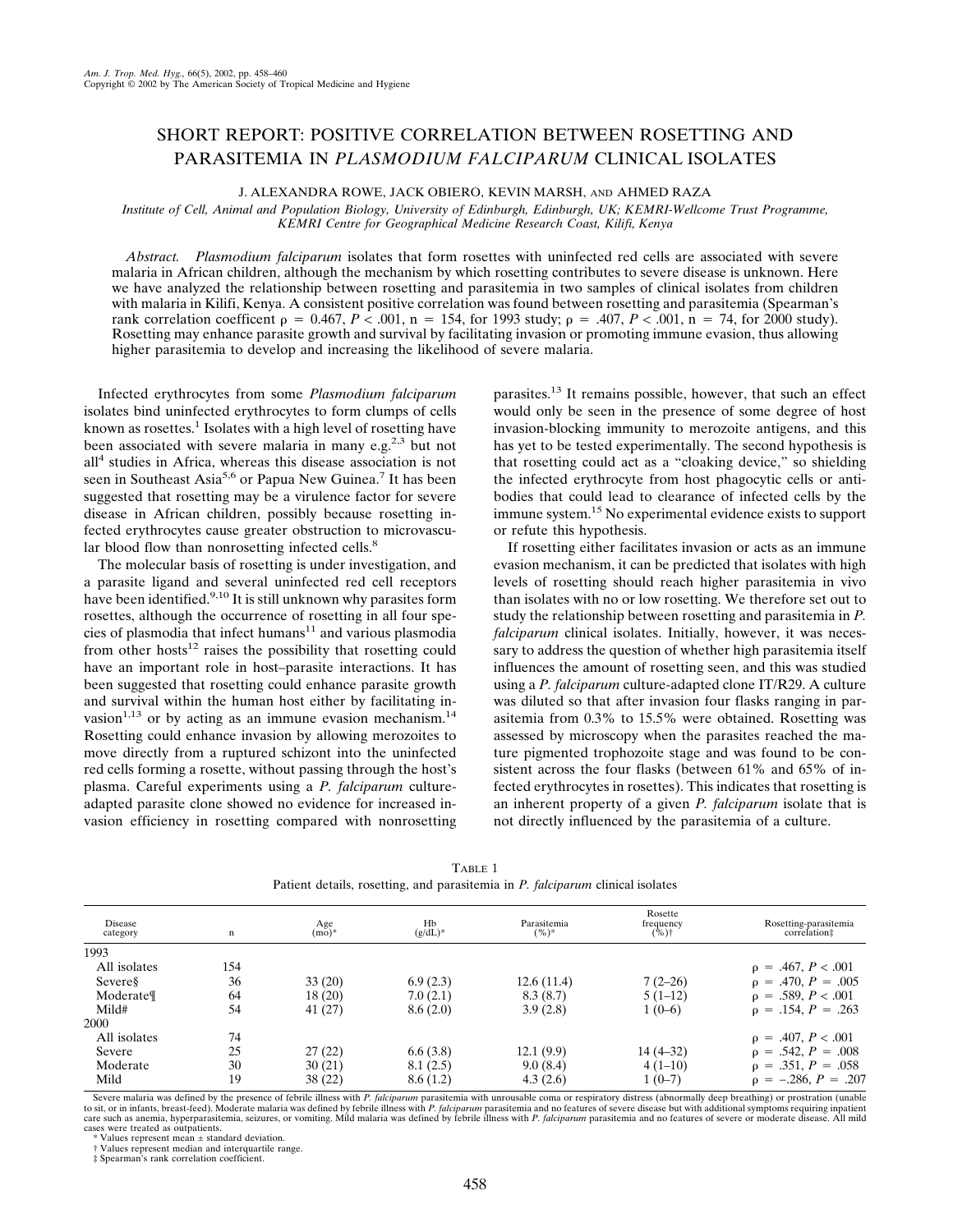## SHORT REPORT: POSITIVE CORRELATION BETWEEN ROSETTING AND PARASITEMIA IN *PLASMODIUM FALCIPARUM* CLINICAL ISOLATES

J. ALEXANDRA ROWE, JACK OBIERO, KEVIN MARSH, AND AHMED RAZA

*Institute of Cell, Animal and Population Biology, University of Edinburgh, Edinburgh, UK; KEMRI-Wellcome Trust Programme, KEMRI Centre for Geographical Medicine Research Coast, Kilifi, Kenya*

*Abstract. Plasmodium falciparum* isolates that form rosettes with uninfected red cells are associated with severe malaria in African children, although the mechanism by which rosetting contributes to severe disease is unknown. Here we have analyzed the relationship between rosetting and parasitemia in two samples of clinical isolates from children with malaria in Kilifi, Kenya. A consistent positive correlation was found between rosetting and parasitemia (Spearman's rank correlation coefficent  $\rho = 0.467$ ,  $P \le 0.001$ ,  $n = 154$ , for 1993 study;  $\rho = .407$ ,  $P \le 0.001$ ,  $n = 74$ , for 2000 study). Rosetting may enhance parasite growth and survival by facilitating invasion or promoting immune evasion, thus allowing higher parasitemia to develop and increasing the likelihood of severe malaria.

Infected erythrocytes from some *Plasmodium falciparum* isolates bind uninfected erythrocytes to form clumps of cells known as rosettes.<sup>1</sup> Isolates with a high level of rosetting have been associated with severe malaria in many e.g.<sup>2,3</sup> but not all<sup>4</sup> studies in Africa, whereas this disease association is not seen in Southeast Asia<sup>5,6</sup> or Papua New Guinea.<sup>7</sup> It has been suggested that rosetting may be a virulence factor for severe disease in African children, possibly because rosetting infected erythrocytes cause greater obstruction to microvascular blood flow than nonrosetting infected cells.<sup>8</sup>

The molecular basis of rosetting is under investigation, and a parasite ligand and several uninfected red cell receptors have been identified.<sup>9,10</sup> It is still unknown why parasites form rosettes, although the occurrence of rosetting in all four species of plasmodia that infect humans<sup>11</sup> and various plasmodia from other hosts<sup>12</sup> raises the possibility that rosetting could have an important role in host–parasite interactions. It has been suggested that rosetting could enhance parasite growth and survival within the human host either by facilitating invasion<sup>1,13</sup> or by acting as an immune evasion mechanism.<sup>14</sup> Rosetting could enhance invasion by allowing merozoites to move directly from a ruptured schizont into the uninfected red cells forming a rosette, without passing through the host's plasma. Careful experiments using a *P. falciparum* cultureadapted parasite clone showed no evidence for increased invasion efficiency in rosetting compared with nonrosetting parasites.13 It remains possible, however, that such an effect would only be seen in the presence of some degree of host invasion-blocking immunity to merozoite antigens, and this has yet to be tested experimentally. The second hypothesis is that rosetting could act as a "cloaking device," so shielding the infected erythrocyte from host phagocytic cells or antibodies that could lead to clearance of infected cells by the immune system.15 No experimental evidence exists to support or refute this hypothesis.

If rosetting either facilitates invasion or acts as an immune evasion mechanism, it can be predicted that isolates with high levels of rosetting should reach higher parasitemia in vivo than isolates with no or low rosetting. We therefore set out to study the relationship between rosetting and parasitemia in *P. falciparum* clinical isolates. Initially, however, it was necessary to address the question of whether high parasitemia itself influences the amount of rosetting seen, and this was studied using a *P. falciparum* culture-adapted clone IT/R29. A culture was diluted so that after invasion four flasks ranging in parasitemia from 0.3% to 15.5% were obtained. Rosetting was assessed by microscopy when the parasites reached the mature pigmented trophozoite stage and was found to be consistent across the four flasks (between 61% and 65% of infected erythrocytes in rosettes). This indicates that rosetting is an inherent property of a given *P. falciparum* isolate that is not directly influenced by the parasitemia of a culture.

| Disease<br>category | n   | Age<br>$(mo)*$ | Hb<br>$(g/dL)^*$ | Parasitemia<br>$(%)^*$ | Rosette<br>frequency<br>$(*\%)$ | Rosetting-parasitemia<br>correlation# |
|---------------------|-----|----------------|------------------|------------------------|---------------------------------|---------------------------------------|
| 1993                |     |                |                  |                        |                                 |                                       |
| All isolates        | 154 |                |                  |                        |                                 | $p = .467, P < .001$                  |
| Severes             | 36  | 33(20)         | 6.9(2.3)         | 12.6(11.4)             | $7(2-26)$                       | $p = .470, P = .005$                  |
| Moderate            | 64  | 18(20)         | 7.0(2.1)         | 8.3(8.7)               | $5(1-12)$                       | $p = .589, P < .001$                  |
| Mild#               | 54  | 41(27)         | 8.6(2.0)         | 3.9(2.8)               | $1(0-6)$                        | $p = .154, P = .263$                  |
| 2000                |     |                |                  |                        |                                 |                                       |
| All isolates        | 74  |                |                  |                        |                                 | $p = .407, P < .001$                  |
| Severe              | 25  | 27(22)         | 6.6(3.8)         | 12.1(9.9)              | 14 (4–32)                       | $p = .542, P = .008$                  |
| Moderate            | 30  | 30(21)         | 8.1(2.5)         | 9.0(8.4)               | $4(1-10)$                       | $p = .351, P = .058$                  |
| Mild                | 19  | 38(22)         | 8.6(1.2)         | 4.3(2.6)               | $1(0-7)$                        | $p = -.286, P = .207$                 |

TABLE 1 Patient details, rosetting, and parasitemia in *P. falciparum* clinical isolates

Severe malaria was defined by the presence of febrile illness with *P. falciparum* parasitemia with unrousable coma or respiratory distress (abnormally deep breathing) or prostration (unable to sit, or in infants, breast-feed). Moderate malaria was defined by febrile illness with P. *falciparum* parasitemia and no features of severe disease but with additional symptoms requiring inpatient<br>care such as anemia, cases were treated as outpatients.

\* Values represent mean ± standard deviation.

† Values represent median and interquartile range.

‡ Spearman's rank correlation coefficient.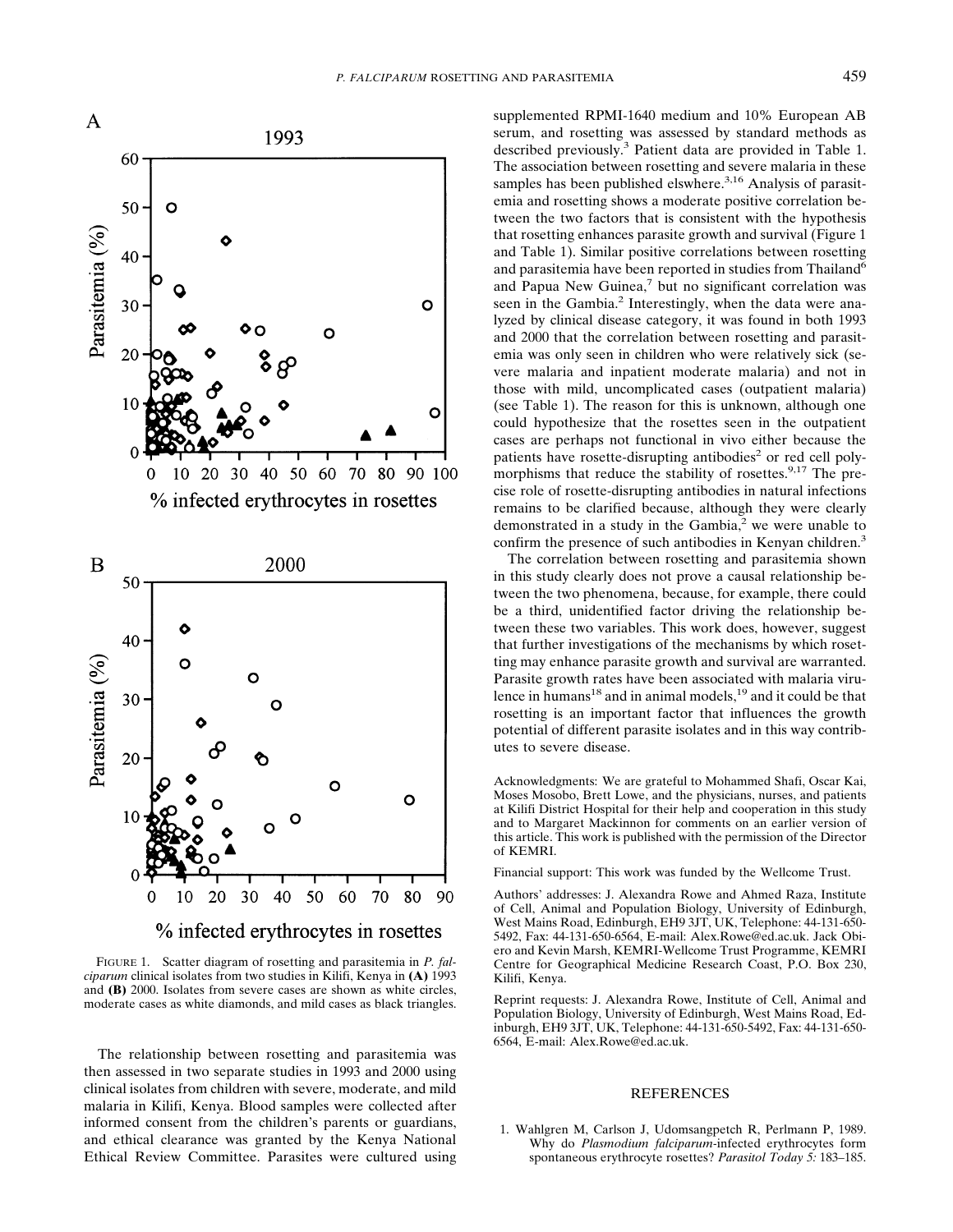

FIGURE 1. Scatter diagram of rosetting and parasitemia in *P. falciparum* clinical isolates from two studies in Kilifi, Kenya in **(A)** 1993 and **(B)** 2000. Isolates from severe cases are shown as white circles, moderate cases as white diamonds, and mild cases as black triangles.

The relationship between rosetting and parasitemia was then assessed in two separate studies in 1993 and 2000 using clinical isolates from children with severe, moderate, and mild malaria in Kilifi, Kenya. Blood samples were collected after informed consent from the children's parents or guardians, and ethical clearance was granted by the Kenya National Ethical Review Committee. Parasites were cultured using supplemented RPMI-1640 medium and 10% European AB serum, and rosetting was assessed by standard methods as described previously.3 Patient data are provided in Table 1. The association between rosetting and severe malaria in these samples has been published elswhere.<sup>3,16</sup> Analysis of parasitemia and rosetting shows a moderate positive correlation between the two factors that is consistent with the hypothesis that rosetting enhances parasite growth and survival (Figure 1 and Table 1). Similar positive correlations between rosetting and parasitemia have been reported in studies from Thailand<sup>6</sup> and Papua New Guinea,<sup>7</sup> but no significant correlation was seen in the Gambia.<sup>2</sup> Interestingly, when the data were analyzed by clinical disease category, it was found in both 1993 and 2000 that the correlation between rosetting and parasitemia was only seen in children who were relatively sick (severe malaria and inpatient moderate malaria) and not in those with mild, uncomplicated cases (outpatient malaria) (see Table 1). The reason for this is unknown, although one could hypothesize that the rosettes seen in the outpatient cases are perhaps not functional in vivo either because the patients have rosette-disrupting antibodies<sup>2</sup> or red cell polymorphisms that reduce the stability of rosettes.<sup>9,17</sup> The precise role of rosette-disrupting antibodies in natural infections remains to be clarified because, although they were clearly demonstrated in a study in the Gambia, $<sup>2</sup>$  we were unable to</sup> confirm the presence of such antibodies in Kenyan children.<sup>3</sup>

The correlation between rosetting and parasitemia shown in this study clearly does not prove a causal relationship between the two phenomena, because, for example, there could be a third, unidentified factor driving the relationship between these two variables. This work does, however, suggest that further investigations of the mechanisms by which rosetting may enhance parasite growth and survival are warranted. Parasite growth rates have been associated with malaria virulence in humans<sup>18</sup> and in animal models,<sup>19</sup> and it could be that rosetting is an important factor that influences the growth potential of different parasite isolates and in this way contributes to severe disease.

Acknowledgments: We are grateful to Mohammed Shafi, Oscar Kai, Moses Mosobo, Brett Lowe, and the physicians, nurses, and patients at Kilifi District Hospital for their help and cooperation in this study and to Margaret Mackinnon for comments on an earlier version of this article. This work is published with the permission of the Director of KEMRI.

Financial support: This work was funded by the Wellcome Trust.

Authors' addresses: J. Alexandra Rowe and Ahmed Raza, Institute of Cell, Animal and Population Biology, University of Edinburgh, West Mains Road, Edinburgh, EH9 3JT, UK, Telephone: 44-131-650- 5492, Fax: 44-131-650-6564, E-mail: Alex.Rowe@ed.ac.uk. Jack Obiero and Kevin Marsh, KEMRI-Wellcome Trust Programme, KEMRI Centre for Geographical Medicine Research Coast, P.O. Box 230, Kilifi, Kenya.

Reprint requests: J. Alexandra Rowe, Institute of Cell, Animal and Population Biology, University of Edinburgh, West Mains Road, Edinburgh, EH9 3JT, UK, Telephone: 44-131-650-5492, Fax: 44-131-650- 6564, E-mail: Alex.Rowe@ed.ac.uk.

## **REFERENCES**

1. Wahlgren M, Carlson J, Udomsangpetch R, Perlmann P, 1989. Why do *Plasmodium falciparum-*infected erythrocytes form spontaneous erythrocyte rosettes? *Parasitol Today 5:* 183–185.